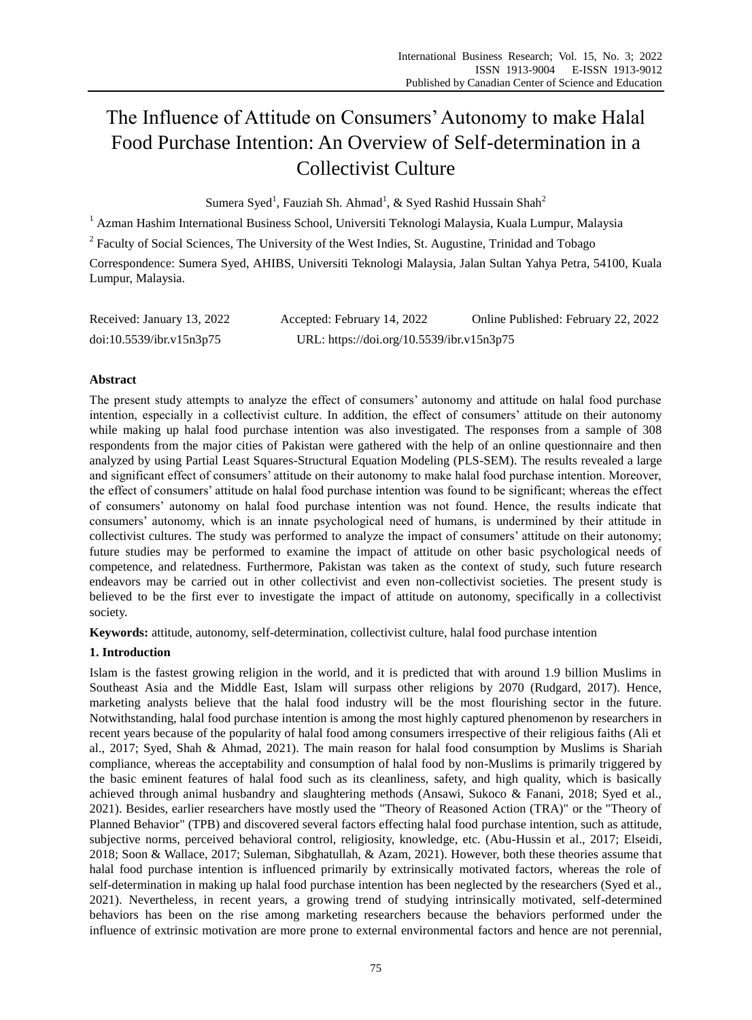# The Influence of Attitude on Consumers' Autonomy to make Halal Food Purchase Intention: An Overview of Self-determination in a Collectivist Culture

Sumera Syed<sup>1</sup>, Fauziah Sh. Ahmad<sup>1</sup>, & Syed Rashid Hussain Shah<sup>2</sup>

<sup>1</sup> Azman Hashim International Business School, Universiti Teknologi Malaysia, Kuala Lumpur, Malaysia

 $2^2$  Faculty of Social Sciences, The University of the West Indies, St. Augustine, Trinidad and Tobago

Correspondence: Sumera Syed, AHIBS, Universiti Teknologi Malaysia, Jalan Sultan Yahya Petra, 54100, Kuala Lumpur, Malaysia.

| Received: January 13, 2022 | Accepted: February 14, 2022               | Online Published: February 22, 2022 |
|----------------------------|-------------------------------------------|-------------------------------------|
| doi:10.5539/ibr.v15n3p75   | URL: https://doi.org/10.5539/ibr.v15n3p75 |                                     |

## **Abstract**

The present study attempts to analyze the effect of consumers" autonomy and attitude on halal food purchase intention, especially in a collectivist culture. In addition, the effect of consumers" attitude on their autonomy while making up halal food purchase intention was also investigated. The responses from a sample of 308 respondents from the major cities of Pakistan were gathered with the help of an online questionnaire and then analyzed by using Partial Least Squares-Structural Equation Modeling (PLS-SEM). The results revealed a large and significant effect of consumers" attitude on their autonomy to make halal food purchase intention. Moreover, the effect of consumers" attitude on halal food purchase intention was found to be significant; whereas the effect of consumers" autonomy on halal food purchase intention was not found. Hence, the results indicate that consumers" autonomy, which is an innate psychological need of humans, is undermined by their attitude in collectivist cultures. The study was performed to analyze the impact of consumers" attitude on their autonomy; future studies may be performed to examine the impact of attitude on other basic psychological needs of competence, and relatedness. Furthermore, Pakistan was taken as the context of study, such future research endeavors may be carried out in other collectivist and even non-collectivist societies. The present study is believed to be the first ever to investigate the impact of attitude on autonomy, specifically in a collectivist society.

**Keywords:** attitude, autonomy, self-determination, collectivist culture, halal food purchase intention

## **1. Introduction**

Islam is the fastest growing religion in the world, and it is predicted that with around 1.9 billion Muslims in Southeast Asia and the Middle East, Islam will surpass other religions by 2070 (Rudgard, 2017). Hence, marketing analysts believe that the halal food industry will be the most flourishing sector in the future. Notwithstanding, halal food purchase intention is among the most highly captured phenomenon by researchers in recent years because of the popularity of halal food among consumers irrespective of their religious faiths (Ali et al., 2017; Syed, Shah & Ahmad, 2021). The main reason for halal food consumption by Muslims is Shariah compliance, whereas the acceptability and consumption of halal food by non-Muslims is primarily triggered by the basic eminent features of halal food such as its cleanliness, safety, and high quality, which is basically achieved through animal husbandry and slaughtering methods (Ansawi, Sukoco & Fanani, 2018; Syed et al., 2021). Besides, earlier researchers have mostly used the "Theory of Reasoned Action (TRA)" or the "Theory of Planned Behavior" (TPB) and discovered several factors effecting halal food purchase intention, such as attitude, subjective norms, perceived behavioral control, religiosity, knowledge, etc. (Abu-Hussin et al., 2017; Elseidi, 2018; Soon & Wallace, 2017; Suleman, Sibghatullah, & Azam, 2021). However, both these theories assume that halal food purchase intention is influenced primarily by extrinsically motivated factors, whereas the role of self-determination in making up halal food purchase intention has been neglected by the researchers (Syed et al., 2021). Nevertheless, in recent years, a growing trend of studying intrinsically motivated, self-determined behaviors has been on the rise among marketing researchers because the behaviors performed under the influence of extrinsic motivation are more prone to external environmental factors and hence are not perennial,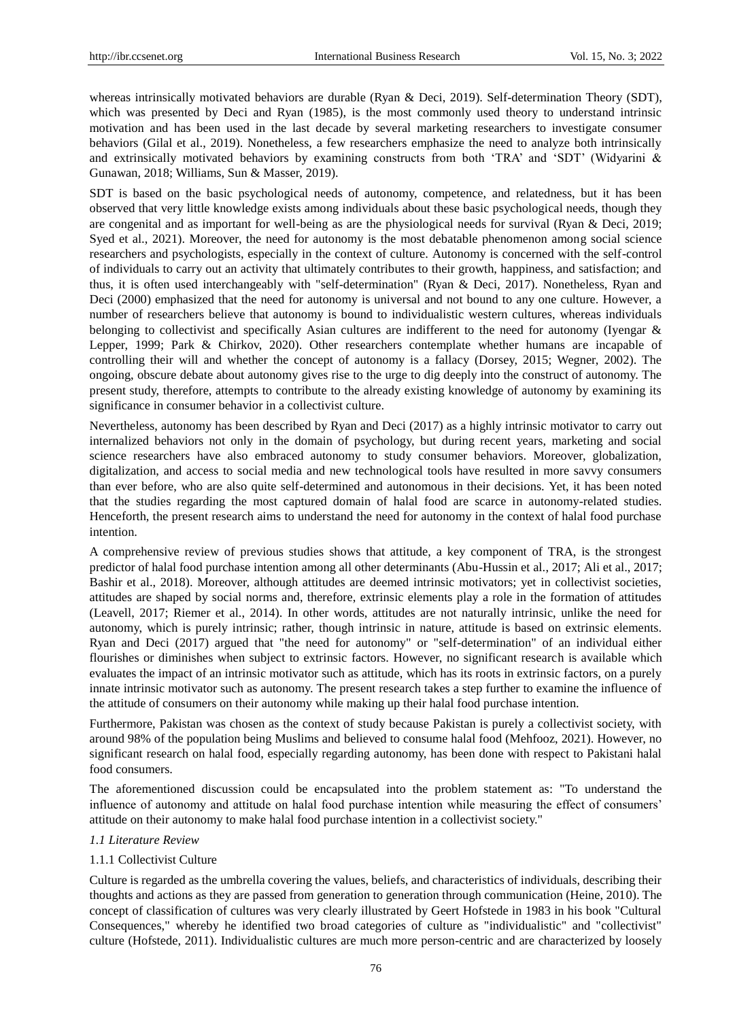whereas intrinsically motivated behaviors are durable (Ryan & Deci, 2019). Self-determination Theory (SDT), which was presented by Deci and Ryan (1985), is the most commonly used theory to understand intrinsic motivation and has been used in the last decade by several marketing researchers to investigate consumer behaviors (Gilal et al., 2019). Nonetheless, a few researchers emphasize the need to analyze both intrinsically and extrinsically motivated behaviors by examining constructs from both 'TRA' and 'SDT' (Widyarini & Gunawan, 2018; Williams, Sun & Masser, 2019).

SDT is based on the basic psychological needs of autonomy, competence, and relatedness, but it has been observed that very little knowledge exists among individuals about these basic psychological needs, though they are congenital and as important for well-being as are the physiological needs for survival (Ryan & Deci, 2019; Syed et al., 2021). Moreover, the need for autonomy is the most debatable phenomenon among social science researchers and psychologists, especially in the context of culture. Autonomy is concerned with the self-control of individuals to carry out an activity that ultimately contributes to their growth, happiness, and satisfaction; and thus, it is often used interchangeably with "self-determination" (Ryan & Deci, 2017). Nonetheless, Ryan and Deci (2000) emphasized that the need for autonomy is universal and not bound to any one culture. However, a number of researchers believe that autonomy is bound to individualistic western cultures, whereas individuals belonging to collectivist and specifically Asian cultures are indifferent to the need for autonomy (Iyengar & Lepper, 1999; Park & Chirkov, 2020). Other researchers contemplate whether humans are incapable of controlling their will and whether the concept of autonomy is a fallacy (Dorsey, 2015; Wegner, 2002). The ongoing, obscure debate about autonomy gives rise to the urge to dig deeply into the construct of autonomy. The present study, therefore, attempts to contribute to the already existing knowledge of autonomy by examining its significance in consumer behavior in a collectivist culture.

Nevertheless, autonomy has been described by Ryan and Deci (2017) as a highly intrinsic motivator to carry out internalized behaviors not only in the domain of psychology, but during recent years, marketing and social science researchers have also embraced autonomy to study consumer behaviors. Moreover, globalization, digitalization, and access to social media and new technological tools have resulted in more savvy consumers than ever before, who are also quite self-determined and autonomous in their decisions. Yet, it has been noted that the studies regarding the most captured domain of halal food are scarce in autonomy-related studies. Henceforth, the present research aims to understand the need for autonomy in the context of halal food purchase intention.

A comprehensive review of previous studies shows that attitude, a key component of TRA, is the strongest predictor of halal food purchase intention among all other determinants (Abu-Hussin et al., 2017; Ali et al., 2017; Bashir et al., 2018). Moreover, although attitudes are deemed intrinsic motivators; yet in collectivist societies, attitudes are shaped by social norms and, therefore, extrinsic elements play a role in the formation of attitudes (Leavell, 2017; Riemer et al., 2014). In other words, attitudes are not naturally intrinsic, unlike the need for autonomy, which is purely intrinsic; rather, though intrinsic in nature, attitude is based on extrinsic elements. Ryan and Deci (2017) argued that "the need for autonomy" or "self-determination" of an individual either flourishes or diminishes when subject to extrinsic factors. However, no significant research is available which evaluates the impact of an intrinsic motivator such as attitude, which has its roots in extrinsic factors, on a purely innate intrinsic motivator such as autonomy. The present research takes a step further to examine the influence of the attitude of consumers on their autonomy while making up their halal food purchase intention.

Furthermore, Pakistan was chosen as the context of study because Pakistan is purely a collectivist society, with around 98% of the population being Muslims and believed to consume halal food (Mehfooz, 2021). However, no significant research on halal food, especially regarding autonomy, has been done with respect to Pakistani halal food consumers.

The aforementioned discussion could be encapsulated into the problem statement as: "To understand the influence of autonomy and attitude on halal food purchase intention while measuring the effect of consumers" attitude on their autonomy to make halal food purchase intention in a collectivist society."

## *1.1 Literature Review*

## 1.1.1 Collectivist Culture

Culture is regarded as the umbrella covering the values, beliefs, and characteristics of individuals, describing their thoughts and actions as they are passed from generation to generation through communication (Heine, 2010). The concept of classification of cultures was very clearly illustrated by Geert Hofstede in 1983 in his book "Cultural Consequences," whereby he identified two broad categories of culture as "individualistic" and "collectivist" culture (Hofstede, 2011). Individualistic cultures are much more person-centric and are characterized by loosely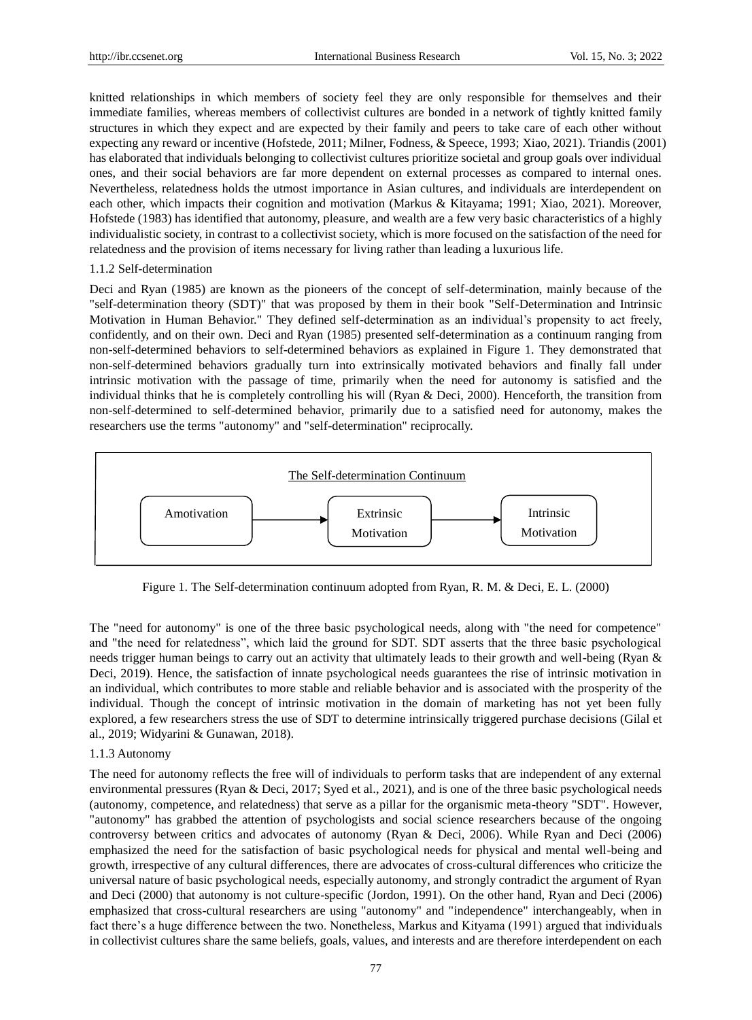knitted relationships in which members of society feel they are only responsible for themselves and their immediate families, whereas members of collectivist cultures are bonded in a network of tightly knitted family structures in which they expect and are expected by their family and peers to take care of each other without expecting any reward or incentive (Hofstede, 2011; Milner, Fodness, & Speece, 1993; Xiao, 2021). Triandis (2001) has elaborated that individuals belonging to collectivist cultures prioritize societal and group goals over individual ones, and their social behaviors are far more dependent on external processes as compared to internal ones. Nevertheless, relatedness holds the utmost importance in Asian cultures, and individuals are interdependent on each other, which impacts their cognition and motivation (Markus & Kitayama; 1991; Xiao, 2021). Moreover, Hofstede (1983) has identified that autonomy, pleasure, and wealth are a few very basic characteristics of a highly individualistic society, in contrast to a collectivist society, which is more focused on the satisfaction of the need for relatedness and the provision of items necessary for living rather than leading a luxurious life.

#### 1.1.2 Self-determination

Deci and Ryan (1985) are known as the pioneers of the concept of self-determination, mainly because of the "self-determination theory (SDT)" that was proposed by them in their book "Self-Determination and Intrinsic Motivation in Human Behavior." They defined self-determination as an individual"s propensity to act freely, confidently, and on their own. Deci and Ryan (1985) presented self-determination as a continuum ranging from non-self-determined behaviors to self-determined behaviors as explained in Figure 1. They demonstrated that non-self-determined behaviors gradually turn into extrinsically motivated behaviors and finally fall under intrinsic motivation with the passage of time, primarily when the need for autonomy is satisfied and the individual thinks that he is completely controlling his will (Ryan & Deci, 2000). Henceforth, the transition from non-self-determined to self-determined behavior, primarily due to a satisfied need for autonomy, makes the researchers use the terms "autonomy" and "self-determination" reciprocally.



Figure 1. The Self-determination continuum adopted from Ryan, R. M. & Deci, E. L. (2000)

The "need for autonomy" is one of the three basic psychological needs, along with "the need for competence" and "the need for relatedness", which laid the ground for SDT. SDT asserts that the three basic psychological needs trigger human beings to carry out an activity that ultimately leads to their growth and well-being (Ryan & Deci, 2019). Hence, the satisfaction of innate psychological needs guarantees the rise of intrinsic motivation in an individual, which contributes to more stable and reliable behavior and is associated with the prosperity of the individual. Though the concept of intrinsic motivation in the domain of marketing has not yet been fully explored, a few researchers stress the use of SDT to determine intrinsically triggered purchase decisions (Gilal et al., 2019; Widyarini & Gunawan, 2018).

#### 1.1.3 Autonomy

The need for autonomy reflects the free will of individuals to perform tasks that are independent of any external environmental pressures (Ryan & Deci, 2017; Syed et al., 2021), and is one of the three basic psychological needs (autonomy, competence, and relatedness) that serve as a pillar for the organismic meta-theory "SDT". However, "autonomy" has grabbed the attention of psychologists and social science researchers because of the ongoing controversy between critics and advocates of autonomy (Ryan & Deci, 2006). While Ryan and Deci (2006) emphasized the need for the satisfaction of basic psychological needs for physical and mental well-being and growth, irrespective of any cultural differences, there are advocates of cross-cultural differences who criticize the universal nature of basic psychological needs, especially autonomy, and strongly contradict the argument of Ryan and Deci (2000) that autonomy is not culture-specific (Jordon, 1991). On the other hand, Ryan and Deci (2006) emphasized that cross-cultural researchers are using "autonomy" and "independence" interchangeably, when in fact there"s a huge difference between the two. Nonetheless, Markus and Kityama (1991) argued that individuals in collectivist cultures share the same beliefs, goals, values, and interests and are therefore interdependent on each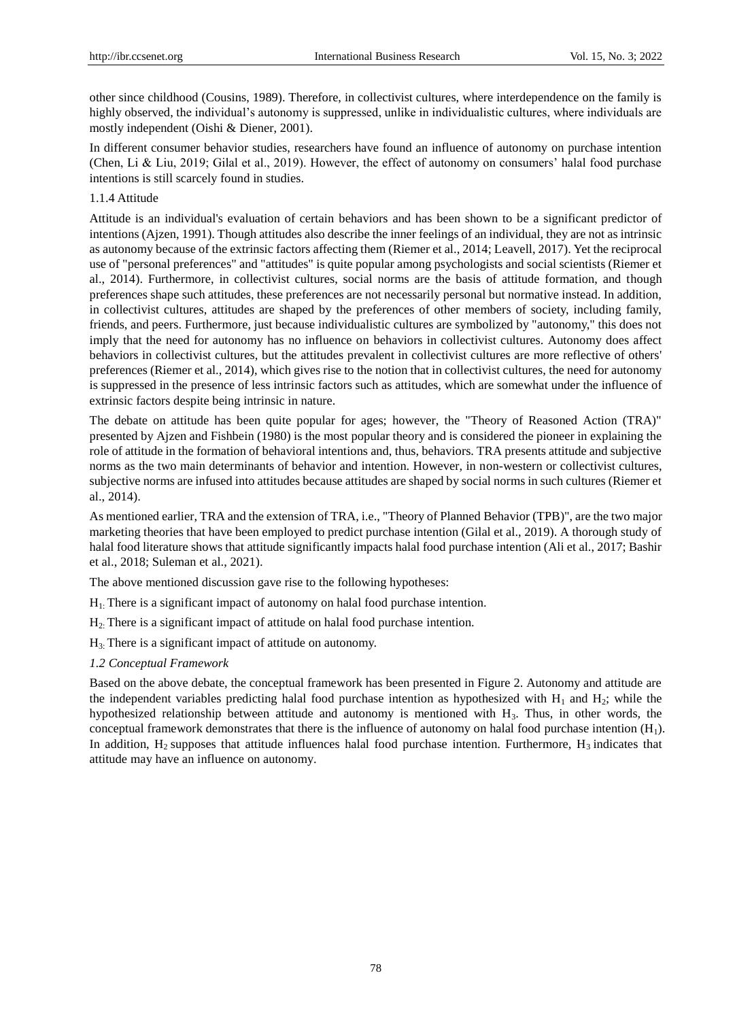other since childhood (Cousins, 1989). Therefore, in collectivist cultures, where interdependence on the family is highly observed, the individual"s autonomy is suppressed, unlike in individualistic cultures, where individuals are mostly independent (Oishi & Diener, 2001).

In different consumer behavior studies, researchers have found an influence of autonomy on purchase intention (Chen, Li & Liu, 2019; Gilal et al., 2019). However, the effect of autonomy on consumers" halal food purchase intentions is still scarcely found in studies.

# 1.1.4 Attitude

Attitude is an individual's evaluation of certain behaviors and has been shown to be a significant predictor of intentions (Ajzen, 1991). Though attitudes also describe the inner feelings of an individual, they are not as intrinsic as autonomy because of the extrinsic factors affecting them (Riemer et al., 2014; Leavell, 2017). Yet the reciprocal use of "personal preferences" and "attitudes" is quite popular among psychologists and social scientists (Riemer et al., 2014). Furthermore, in collectivist cultures, social norms are the basis of attitude formation, and though preferences shape such attitudes, these preferences are not necessarily personal but normative instead. In addition, in collectivist cultures, attitudes are shaped by the preferences of other members of society, including family, friends, and peers. Furthermore, just because individualistic cultures are symbolized by "autonomy," this does not imply that the need for autonomy has no influence on behaviors in collectivist cultures. Autonomy does affect behaviors in collectivist cultures, but the attitudes prevalent in collectivist cultures are more reflective of others' preferences (Riemer et al., 2014), which gives rise to the notion that in collectivist cultures, the need for autonomy is suppressed in the presence of less intrinsic factors such as attitudes, which are somewhat under the influence of extrinsic factors despite being intrinsic in nature.

The debate on attitude has been quite popular for ages; however, the "Theory of Reasoned Action (TRA)" presented by Ajzen and Fishbein (1980) is the most popular theory and is considered the pioneer in explaining the role of attitude in the formation of behavioral intentions and, thus, behaviors. TRA presents attitude and subjective norms as the two main determinants of behavior and intention. However, in non-western or collectivist cultures, subjective norms are infused into attitudes because attitudes are shaped by social norms in such cultures (Riemer et al., 2014).

As mentioned earlier, TRA and the extension of TRA, i.e., "Theory of Planned Behavior (TPB)", are the two major marketing theories that have been employed to predict purchase intention (Gilal et al., 2019). A thorough study of halal food literature shows that attitude significantly impacts halal food purchase intention (Ali et al., 2017; Bashir et al., 2018; Suleman et al., 2021).

The above mentioned discussion gave rise to the following hypotheses:

- $H<sub>1</sub>$ : There is a significant impact of autonomy on halal food purchase intention.
- H2: There is a significant impact of attitude on halal food purchase intention.
- $H<sub>3</sub>$ : There is a significant impact of attitude on autonomy.

## *1.2 Conceptual Framework*

Based on the above debate, the conceptual framework has been presented in Figure 2. Autonomy and attitude are the independent variables predicting halal food purchase intention as hypothesized with  $H_1$  and  $H_2$ ; while the hypothesized relationship between attitude and autonomy is mentioned with  $H_3$ . Thus, in other words, the conceptual framework demonstrates that there is the influence of autonomy on halal food purchase intention  $(H_1)$ . In addition,  $H_2$  supposes that attitude influences halal food purchase intention. Furthermore,  $H_3$  indicates that attitude may have an influence on autonomy.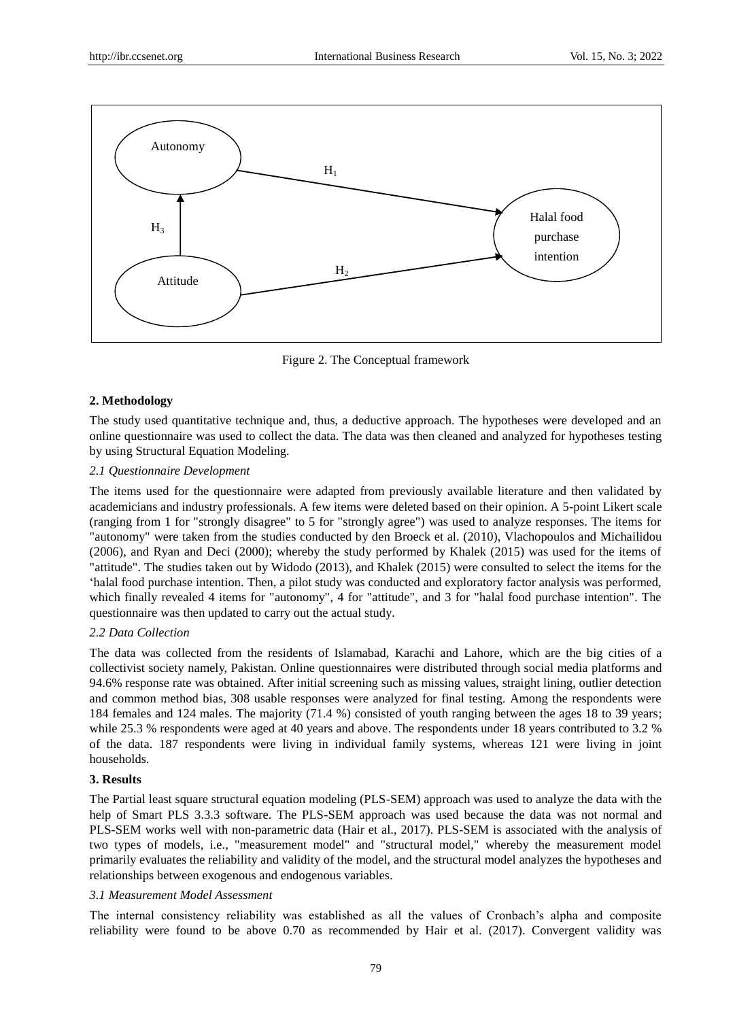

Figure 2. The Conceptual framework

# **2. Methodology**

The study used quantitative technique and, thus, a deductive approach. The hypotheses were developed and an online questionnaire was used to collect the data. The data was then cleaned and analyzed for hypotheses testing by using Structural Equation Modeling.

# *2.1 Questionnaire Development*

The items used for the questionnaire were adapted from previously available literature and then validated by academicians and industry professionals. A few items were deleted based on their opinion. A 5-point Likert scale (ranging from 1 for "strongly disagree" to 5 for "strongly agree") was used to analyze responses. The items for "autonomy" were taken from the studies conducted by den Broeck et al. (2010), Vlachopoulos and Michailidou (2006), and Ryan and Deci (2000); whereby the study performed by Khalek (2015) was used for the items of "attitude". The studies taken out by Widodo (2013), and Khalek (2015) were consulted to select the items for the "halal food purchase intention. Then, a pilot study was conducted and exploratory factor analysis was performed, which finally revealed 4 items for "autonomy", 4 for "attitude", and 3 for "halal food purchase intention". The questionnaire was then updated to carry out the actual study.

## *2.2 Data Collection*

The data was collected from the residents of Islamabad, Karachi and Lahore, which are the big cities of a collectivist society namely, Pakistan. Online questionnaires were distributed through social media platforms and 94.6% response rate was obtained. After initial screening such as missing values, straight lining, outlier detection and common method bias, 308 usable responses were analyzed for final testing. Among the respondents were 184 females and 124 males. The majority (71.4 %) consisted of youth ranging between the ages 18 to 39 years; while 25.3 % respondents were aged at 40 years and above. The respondents under 18 years contributed to 3.2 % of the data. 187 respondents were living in individual family systems, whereas 121 were living in joint households.

## **3. Results**

The Partial least square structural equation modeling (PLS-SEM) approach was used to analyze the data with the help of Smart PLS 3.3.3 software. The PLS-SEM approach was used because the data was not normal and PLS-SEM works well with non-parametric data (Hair et al., 2017). PLS-SEM is associated with the analysis of two types of models, i.e., "measurement model" and "structural model," whereby the measurement model primarily evaluates the reliability and validity of the model, and the structural model analyzes the hypotheses and relationships between exogenous and endogenous variables.

# *3.1 Measurement Model Assessment*

The internal consistency reliability was established as all the values of Cronbach's alpha and composite reliability were found to be above 0.70 as recommended by Hair et al. (2017). Convergent validity was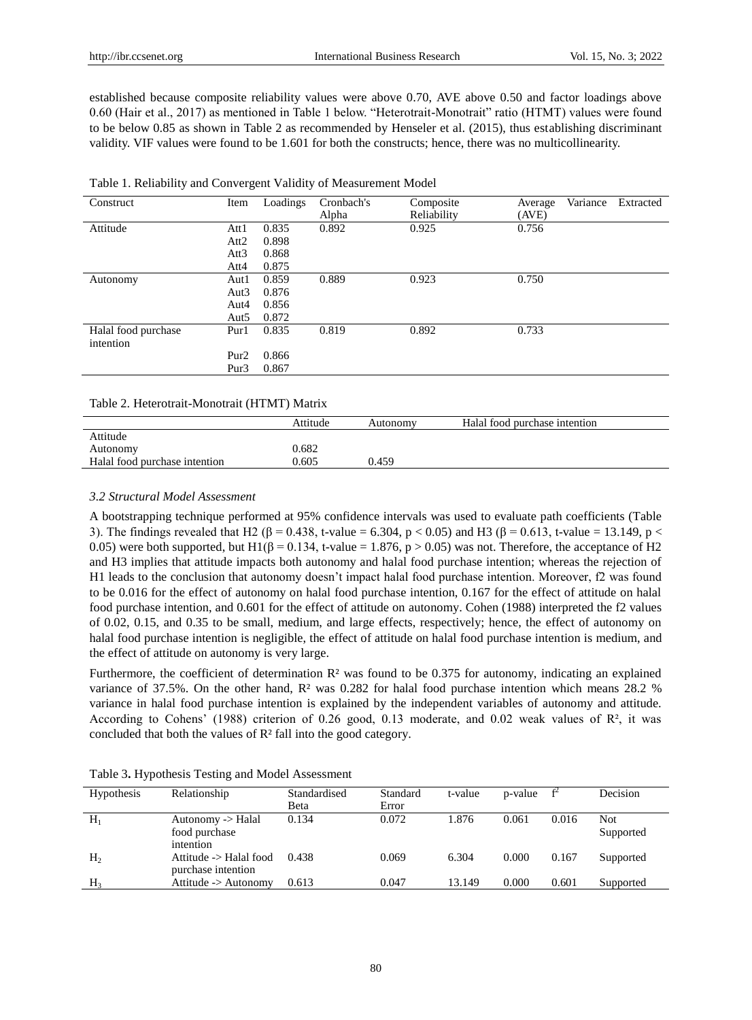established because composite reliability values were above 0.70, AVE above 0.50 and factor loadings above 0.60 (Hair et al., 2017) as mentioned in Table 1 below. "Heterotrait-Monotrait" ratio (HTMT) values were found to be below 0.85 as shown in Table 2 as recommended by Henseler et al. (2015), thus establishing discriminant validity. VIF values were found to be 1.601 for both the constructs; hence, there was no multicollinearity.

| Construct                        | Item             | Loadings | Cronbach's<br>Alpha | Composite<br>Reliability | Average<br>(AVE) | Variance | Extracted |
|----------------------------------|------------------|----------|---------------------|--------------------------|------------------|----------|-----------|
| Attitude                         | Att1             | 0.835    | 0.892               | 0.925                    | 0.756            |          |           |
|                                  | Att2             | 0.898    |                     |                          |                  |          |           |
|                                  | Att3             | 0.868    |                     |                          |                  |          |           |
|                                  | Att4             | 0.875    |                     |                          |                  |          |           |
| Autonomy                         | Aut1             | 0.859    | 0.889               | 0.923                    | 0.750            |          |           |
|                                  | Aut <sub>3</sub> | 0.876    |                     |                          |                  |          |           |
|                                  | Aut4             | 0.856    |                     |                          |                  |          |           |
|                                  | Aut <sub>5</sub> | 0.872    |                     |                          |                  |          |           |
| Halal food purchase<br>intention | Pur1             | 0.835    | 0.819               | 0.892                    | 0.733            |          |           |
|                                  | Pur <sub>2</sub> | 0.866    |                     |                          |                  |          |           |
|                                  | Pur <sub>3</sub> | 0.867    |                     |                          |                  |          |           |
|                                  |                  |          |                     |                          |                  |          |           |

| Table 1. Reliability and Convergent Validity of Measurement Model |  |  |
|-------------------------------------------------------------------|--|--|
|                                                                   |  |  |

#### Table 2. Heterotrait-Monotrait (HTMT) Matrix

|                               | Attitude | Autonomy | Halal food purchase intention |
|-------------------------------|----------|----------|-------------------------------|
| Attitude                      |          |          |                               |
| Autonomy                      | 0.682    |          |                               |
| Halal food purchase intention | 0.605    | 0.459    |                               |

### *3.2 Structural Model Assessment*

A bootstrapping technique performed at 95% confidence intervals was used to evaluate path coefficients (Table 3). The findings revealed that H2 (β = 0.438, t-value = 6.304, p < 0.05) and H3 (β = 0.613, t-value = 13.149, p < 0.05) were both supported, but H1( $\beta$  = 0.134, t-value = 1.876, p > 0.05) was not. Therefore, the acceptance of H2 and H3 implies that attitude impacts both autonomy and halal food purchase intention; whereas the rejection of H1 leads to the conclusion that autonomy doesn"t impact halal food purchase intention. Moreover, f2 was found to be 0.016 for the effect of autonomy on halal food purchase intention, 0.167 for the effect of attitude on halal food purchase intention, and 0.601 for the effect of attitude on autonomy. Cohen (1988) interpreted the f2 values of 0.02, 0.15, and 0.35 to be small, medium, and large effects, respectively; hence, the effect of autonomy on halal food purchase intention is negligible, the effect of attitude on halal food purchase intention is medium, and the effect of attitude on autonomy is very large.

Furthermore, the coefficient of determination R<sup>2</sup> was found to be 0.375 for autonomy, indicating an explained variance of 37.5%. On the other hand, R² was 0.282 for halal food purchase intention which means 28.2 % variance in halal food purchase intention is explained by the independent variables of autonomy and attitude. According to Cohens' (1988) criterion of 0.26 good, 0.13 moderate, and 0.02 weak values of R<sup>2</sup>, it was concluded that both the values of R<sup>2</sup>fall into the good category.

| <b>Hypothesis</b> | Relationship                                    | Standardised<br>Beta | Standard<br>Error | t-value | p-value | $f^2$ | Decision          |
|-------------------|-------------------------------------------------|----------------------|-------------------|---------|---------|-------|-------------------|
| $H_1$             | Autonomy -> Halal<br>food purchase<br>intention | 0.134                | 0.072             | 1.876   | 0.061   | 0.016 | Not.<br>Supported |
| H <sub>2</sub>    | Attitude -> Halal food<br>purchase intention    | 0.438                | 0.069             | 6.304   | 0.000   | 0.167 | Supported         |
| H <sub>3</sub>    | Attitude -> Autonomy                            | 0.613                | 0.047             | 13.149  | 0.000   | 0.601 | Supported         |

Table 3**.** Hypothesis Testing and Model Assessment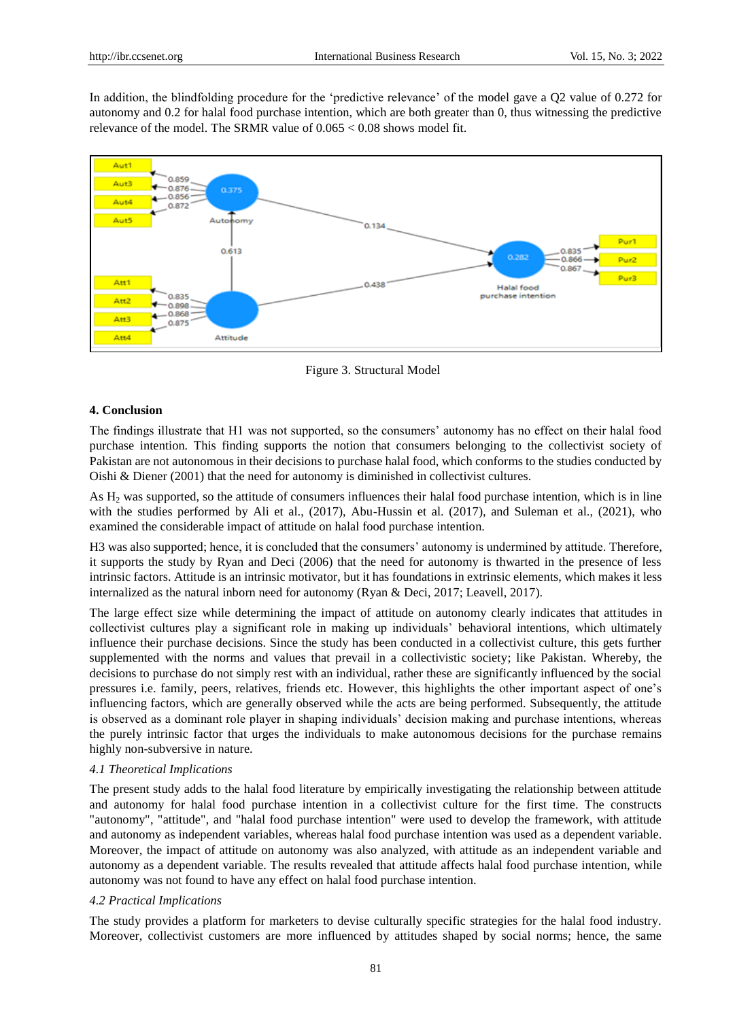In addition, the blindfolding procedure for the 'predictive relevance' of the model gave a Q2 value of 0.272 for autonomy and 0.2 for halal food purchase intention, which are both greater than 0, thus witnessing the predictive relevance of the model. The SRMR value of  $0.065 < 0.08$  shows model fit.



Figure 3. Structural Model

### **4. Conclusion**

The findings illustrate that H1 was not supported, so the consumers" autonomy has no effect on their halal food purchase intention. This finding supports the notion that consumers belonging to the collectivist society of Pakistan are not autonomous in their decisions to purchase halal food, which conforms to the studies conducted by Oishi & Diener (2001) that the need for autonomy is diminished in collectivist cultures.

As  $H<sub>2</sub>$  was supported, so the attitude of consumers influences their halal food purchase intention, which is in line with the studies performed by Ali et al., (2017), Abu-Hussin et al. (2017), and Suleman et al., (2021), who examined the considerable impact of attitude on halal food purchase intention.

H3 was also supported; hence, it is concluded that the consumers" autonomy is undermined by attitude. Therefore, it supports the study by Ryan and Deci (2006) that the need for autonomy is thwarted in the presence of less intrinsic factors. Attitude is an intrinsic motivator, but it has foundations in extrinsic elements, which makes it less internalized as the natural inborn need for autonomy (Ryan & Deci, 2017; Leavell, 2017).

The large effect size while determining the impact of attitude on autonomy clearly indicates that attitudes in collectivist cultures play a significant role in making up individuals" behavioral intentions, which ultimately influence their purchase decisions. Since the study has been conducted in a collectivist culture, this gets further supplemented with the norms and values that prevail in a collectivistic society; like Pakistan. Whereby, the decisions to purchase do not simply rest with an individual, rather these are significantly influenced by the social pressures i.e. family, peers, relatives, friends etc. However, this highlights the other important aspect of one"s influencing factors, which are generally observed while the acts are being performed. Subsequently, the attitude is observed as a dominant role player in shaping individuals" decision making and purchase intentions, whereas the purely intrinsic factor that urges the individuals to make autonomous decisions for the purchase remains highly non-subversive in nature.

#### *4.1 Theoretical Implications*

The present study adds to the halal food literature by empirically investigating the relationship between attitude and autonomy for halal food purchase intention in a collectivist culture for the first time. The constructs "autonomy", "attitude", and "halal food purchase intention" were used to develop the framework, with attitude and autonomy as independent variables, whereas halal food purchase intention was used as a dependent variable. Moreover, the impact of attitude on autonomy was also analyzed, with attitude as an independent variable and autonomy as a dependent variable. The results revealed that attitude affects halal food purchase intention, while autonomy was not found to have any effect on halal food purchase intention.

#### *4.2 Practical Implications*

The study provides a platform for marketers to devise culturally specific strategies for the halal food industry. Moreover, collectivist customers are more influenced by attitudes shaped by social norms; hence, the same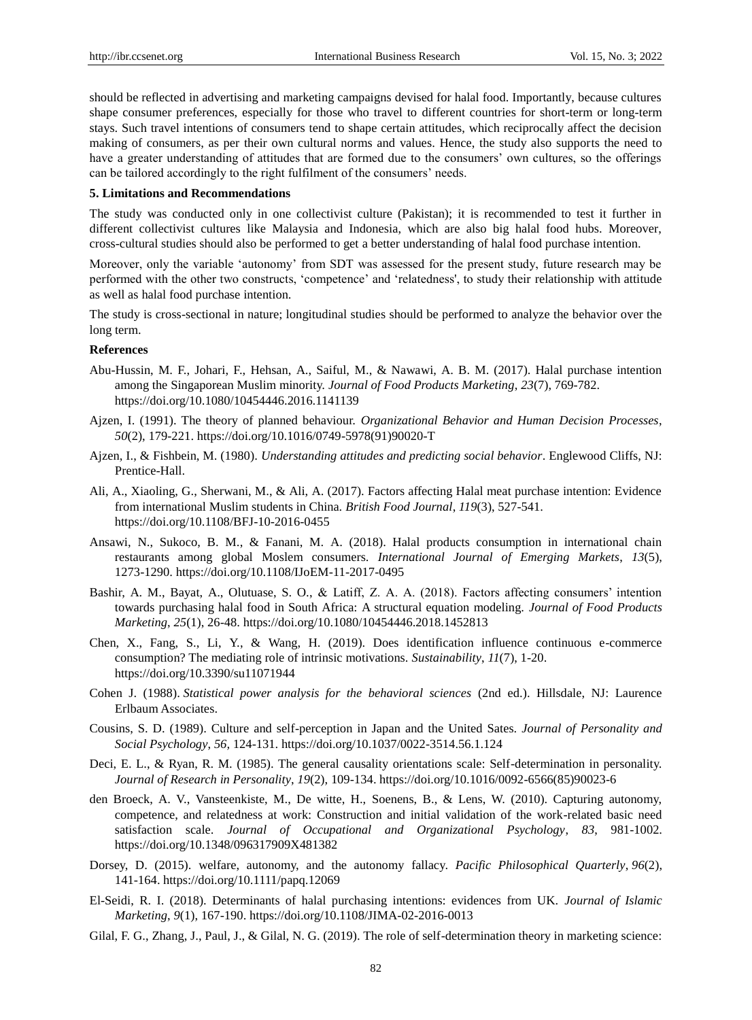should be reflected in advertising and marketing campaigns devised for halal food. Importantly, because cultures shape consumer preferences, especially for those who travel to different countries for short-term or long-term stays. Such travel intentions of consumers tend to shape certain attitudes, which reciprocally affect the decision making of consumers, as per their own cultural norms and values. Hence, the study also supports the need to have a greater understanding of attitudes that are formed due to the consumers' own cultures, so the offerings can be tailored accordingly to the right fulfilment of the consumers' needs.

### **5. Limitations and Recommendations**

The study was conducted only in one collectivist culture (Pakistan); it is recommended to test it further in different collectivist cultures like Malaysia and Indonesia, which are also big halal food hubs. Moreover, cross-cultural studies should also be performed to get a better understanding of halal food purchase intention.

Moreover, only the variable "autonomy" from SDT was assessed for the present study, future research may be performed with the other two constructs, "competence" and "relatedness', to study their relationship with attitude as well as halal food purchase intention.

The study is cross-sectional in nature; longitudinal studies should be performed to analyze the behavior over the long term.

#### **References**

- Abu-Hussin, M. F., Johari, F., Hehsan, A., Saiful, M., & Nawawi, A. B. M. (2017). Halal purchase intention among the Singaporean Muslim minority. *Journal of Food Products Marketing*, *23*(7), 769-782. https://doi.org/10.1080/10454446.2016.1141139
- Ajzen, I. (1991). The theory of planned behaviour. *Organizational Behavior and Human Decision Processes*, *50*(2), 179-221. https://doi.org/10.1016/0749-5978(91)90020-T
- Ajzen, I., & Fishbein, M. (1980). *Understanding attitudes and predicting social behavior*. Englewood Cliffs, NJ: Prentice-Hall.
- Ali, A., Xiaoling, G., Sherwani, M., & Ali, A. (2017). Factors affecting Halal meat purchase intention: Evidence from international Muslim students in China. *British Food Journal*, *119*(3), 527-541. https://doi.org/10.1108/BFJ-10-2016-0455
- Ansawi, N., Sukoco, B. M., & Fanani, M. A. (2018). Halal products consumption in international chain restaurants among global Moslem consumers. *International Journal of Emerging Markets*, *13*(5), 1273-1290.<https://doi.org/10.1108/IJoEM-11-2017-0495>
- Bashir, A. M., Bayat, A., Olutuase, S. O., & Latiff, Z. A. A. (2018). Factors affecting consumers" intention towards purchasing halal food in South Africa: A structural equation modeling. *Journal of Food Products Marketing*, *25*(1), 26-48. https://doi.org/10.1080/10454446.2018.1452813
- Chen, X., Fang, S., Li, Y., & Wang, H. (2019). Does identification influence continuous e-commerce consumption? The mediating role of intrinsic motivations. *[Sustainability](https://ideas.repec.org/s/gam/jsusta.html)*, *11*(7), 1-20. https://doi.org/10.3390/su11071944
- Cohen J. (1988). *Statistical power analysis for the behavioral sciences* (2nd ed.). Hillsdale, NJ: Laurence Erlbaum Associates.
- Cousins, S. D. (1989). Culture and self-perception in Japan and the United Sates. *Journal of Personality and Social Psychology*, *56,* 124-131. https://doi.org/10.1037/0022-3514.56.1.124
- Deci, E. L., & Ryan, R. M. (1985). The general causality orientations scale: Self-determination in personality. *Journal of Research in Personality*, *19*(2), 109-134[. https://doi.org/10.1016/0092-6566\(85\)90023-6](https://doi.org/10.1016/0092-6566(85)90023-6)
- den Broeck, A. V., Vansteenkiste, M., De witte, H., Soenens, B., & Lens, W. (2010). Capturing autonomy, competence, and relatedness at work: Construction and initial validation of the work-related basic need satisfaction scale. *Journal of Occupational and Organizational Psychology*, *83*, 981-1002. https://doi.org/10.1348/096317909X481382
- Dorsey, D. (2015). [welfare, autonomy, and the autonomy fallacy.](https://philpapers.org/go.pl?id=DORWAA-2&proxyId=&u=https%3A%2F%2Fdx.doi.org%2F10.1111%2Fpapq.12069) *[Pacific Philosophical Quarterly](https://philpapers.org/asearch.pl?pub=747)*, *96*(2), 141-164. https://doi.org/10.1111/papq.12069
- El-Seidi, R. I. (2018). Determinants of halal purchasing intentions: evidences from UK. *Journal of Islamic Marketing*, *9*(1), 167-190[. https://doi.org/10.1108/JIMA-02-2016-0013](https://doi.org/10.1108/JIMA-02-2016-0013)
- Gilal, F. G., Zhang, J., Paul, J., & Gilal, N. G. (2019). The role of self-determination theory in marketing science: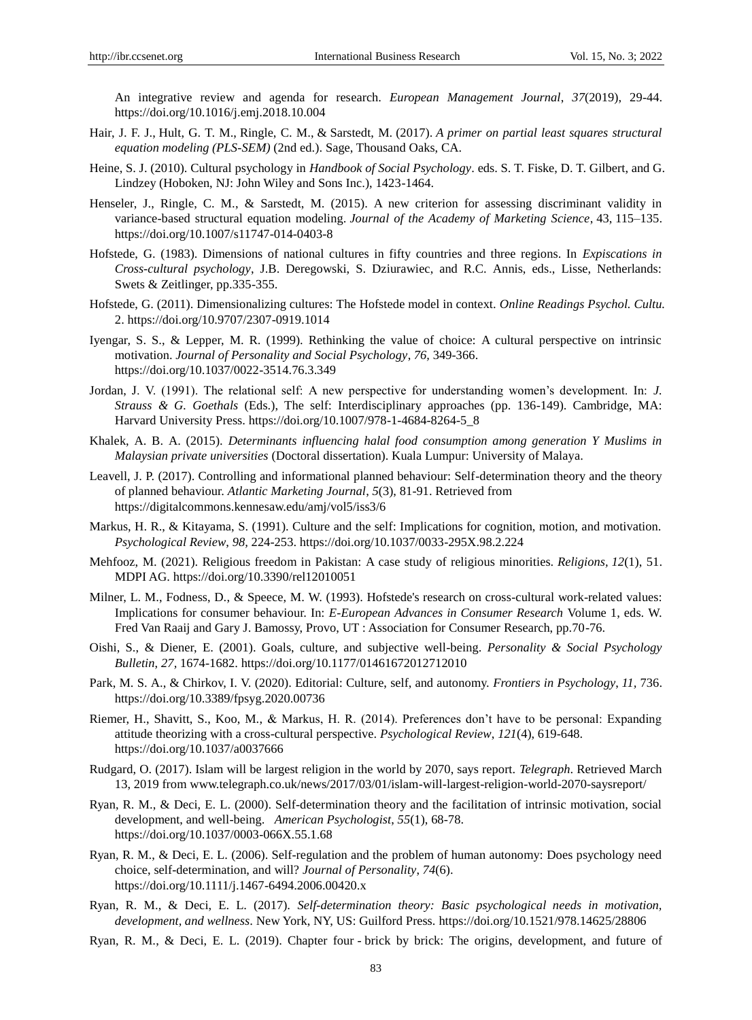An integrative review and agenda for research. *European Management Journal*, *37*(2019), 29-44. https://doi.org/10.1016/j.emj.2018.10.004

- Hair, J. F. J., Hult, G. T. M., Ringle, C. M., & Sarstedt, M. (2017). *A primer on partial least squares structural equation modeling (PLS-SEM)* (2nd ed.). Sage, Thousand Oaks, CA.
- Heine, S. J. (2010). Cultural psychology in *Handbook of Social Psychology*. eds. S. T. Fiske, D. T. Gilbert, and G. Lindzey (Hoboken, NJ: John Wiley and Sons Inc.), 1423-1464.
- Henseler, J., Ringle, C. M., & Sarstedt, M. (2015). A new criterion for assessing discriminant validity in variance-based structural equation modeling. *Journal of the Academy of Marketing Science*, 43, 115–135. <https://doi.org/10.1007/s11747-014-0403-8>
- Hofstede, G. (1983). Dimensions of national cultures in fifty countries and three regions. In *Expiscations in Cross-cultural psychology*, J.B. Deregowski, S. Dziurawiec, and R.C. Annis, eds., Lisse, Netherlands: Swets & Zeitlinger, pp.335-355.
- Hofstede, G. (2011). Dimensionalizing cultures: The Hofstede model in context. *Online Readings Psychol. Cultu.* 2. https://doi.org/10.9707/2307-0919.1014
- Iyengar, S. S., & Lepper, M. R. (1999). Rethinking the value of choice: A cultural perspective on intrinsic motivation. *Journal of Personality and Social Psychology*, *76,* 349-366. https://doi.org/10.1037/0022-3514.76.3.349
- Jordan, J. V. (1991). The relational self: A new perspective for understanding women"s development. In: *J. Strauss & G. Goethals* (Eds.), The self: Interdisciplinary approaches (pp. 136-149). Cambridge, MA: Harvard University Press. https://doi.org/10.1007/978-1-4684-8264-5\_8
- Khalek, A. B. A. (2015). *Determinants influencing halal food consumption among generation Y Muslims in Malaysian private universities* (Doctoral dissertation). Kuala Lumpur: University of Malaya.
- Leavell, J. P. (2017). Controlling and informational planned behaviour: Self-determination theory and the theory of planned behaviour. *Atlantic Marketing Journal*, *5*(3), 81-91. Retrieved from <https://digitalcommons.kennesaw.edu/amj/vol5/iss3/6>
- Markus, H. R., & Kitayama, S. (1991). Culture and the self: Implications for cognition, motion, and motivation. *Psychological Review*, *98,* 224-253. https://doi.org/10.1037/0033-295X.98.2.224
- Mehfooz, M. (2021). Religious freedom in Pakistan: A case study of religious minorities. *Religions, 12*(1), 51. MDPI AG. https://doi.org/10.3390/rel12010051
- Milner, L. M., Fodness, D., & Speece, M. W. (1993). Hofstede's research on cross-cultural work-related values: Implications for consumer behaviour. In: *E-European Advances in Consumer Research* Volume 1, eds. W. Fred Van Raaij and Gary J. Bamossy, Provo, UT : Association for Consumer Research, pp.70-76.
- Oishi, S., & Diener, E. (2001). Goals, culture, and subjective well-being. *Personality & Social Psychology Bulletin*, *27,* 1674-1682. https://doi.org/10.1177/01461672012712010
- Park, M. S. A., & Chirkov, I. V. (2020). Editorial: Culture, self, and autonomy. *Frontiers in Psychology*, *11,* 736. https://doi.org/10.3389/fpsyg.2020.00736
- Riemer, H., Shavitt, S., Koo, M., & Markus, H. R. (2014). Preferences don"t have to be personal: Expanding attitude theorizing with a cross-cultural perspective. *Psychological Review*, *121*(4), 619-648. https://doi.org/10.1037/a0037666
- Rudgard, O. (2017). Islam will be largest religion in the world by 2070, says report. *Telegraph*. Retrieved March 13, 2019 from www.telegraph.co.uk/news/2017/03/01/islam-will-largest-religion-world-2070-saysreport/
- Ryan, R. M., & Deci, E. L. (2000). Self-determination theory and the facilitation of intrinsic motivation, social development, and well-being. *American Psychologist*, *55*(1), 68-78. https://doi.org/10.1037/0003-066X.55.1.68
- Ryan, R. M., & Deci, E. L. (2006). Self-regulation and the problem of human autonomy: Does psychology need choice, self-determination, and will? *Journal of Personality*, *74*(6). https://doi.org/10.1111/j.1467-6494.2006.00420.x
- Ryan, R. M., & Deci, E. L. (2017). *Self-determination theory: Basic psychological needs in motivation, development, and wellness*. New York, NY, US: Guilford Press. https://doi.org/10.1521/978.14625/28806
- Ryan, R. M., & Deci, E. L. (2019). Chapter four brick by brick: The origins, development, and future of